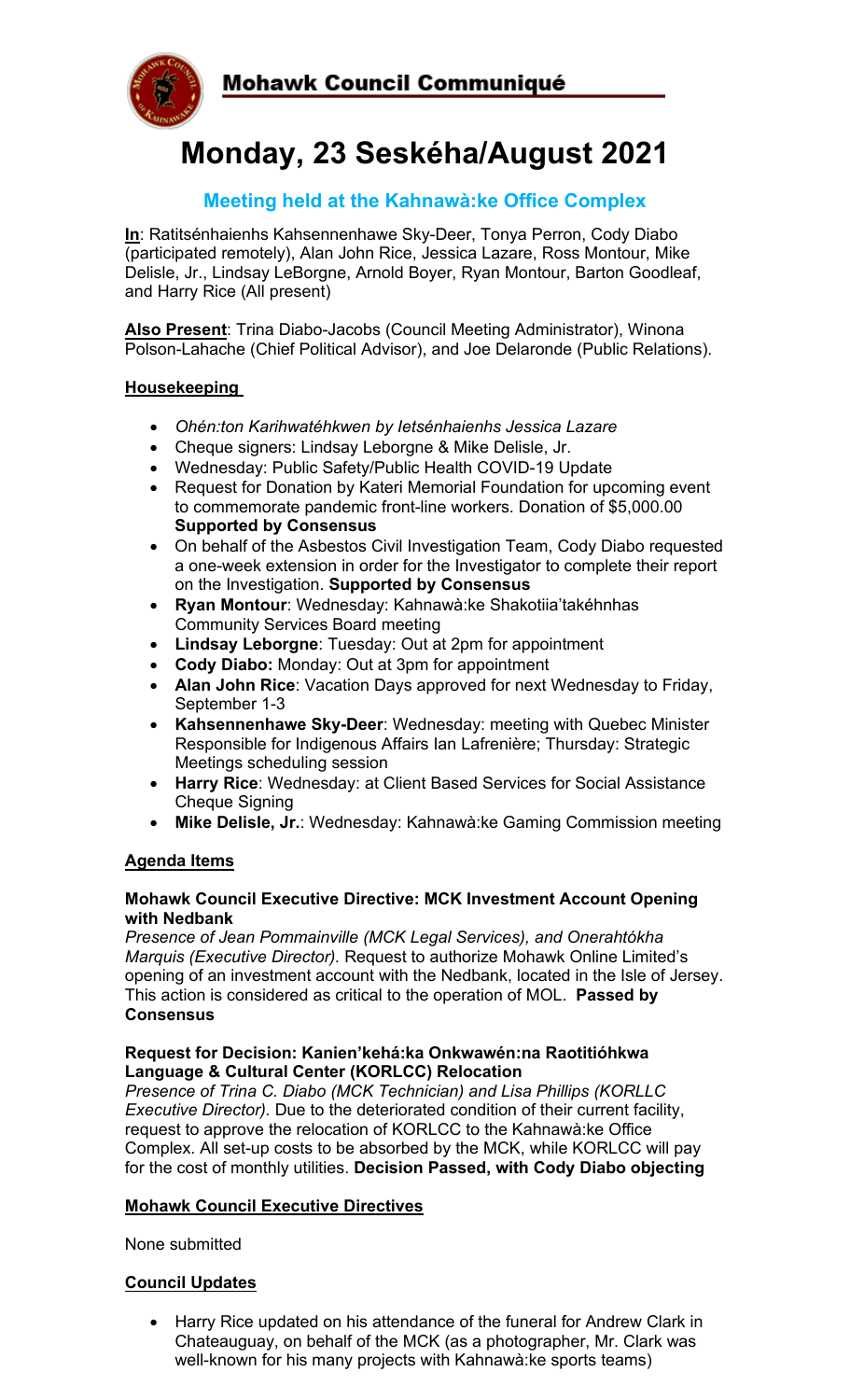



# **Monday, 23 Seskéha/August 2021**

### **Meeting held at the Kahnawà:ke Office Complex**

**In**: Ratitsénhaienhs Kahsennenhawe Sky-Deer, Tonya Perron, Cody Diabo (participated remotely), Alan John Rice, Jessica Lazare, Ross Montour, Mike Delisle, Jr., Lindsay LeBorgne, Arnold Boyer, Ryan Montour, Barton Goodleaf, and Harry Rice (All present)

**Also Present**: Trina Diabo-Jacobs (Council Meeting Administrator), Winona Polson-Lahache (Chief Political Advisor), and Joe Delaronde (Public Relations).

#### **Housekeeping**

- *Ohén:ton Karihwatéhkwen by Ietsénhaienhs Jessica Lazare*
- Cheque signers: Lindsay Leborgne & Mike Delisle, Jr.
- Wednesday: Public Safety/Public Health COVID-19 Update
- Request for Donation by Kateri Memorial Foundation for upcoming event to commemorate pandemic front-line workers. Donation of \$5,000.00 **Supported by Consensus**
- On behalf of the Asbestos Civil Investigation Team, Cody Diabo requested a one-week extension in order for the Investigator to complete their report on the Investigation. **Supported by Consensus**
- **Ryan Montour**: Wednesday: Kahnawà:ke Shakotiia'takéhnhas Community Services Board meeting
- **Lindsay Leborgne**: Tuesday: Out at 2pm for appointment
- **Cody Diabo:** Monday: Out at 3pm for appointment
- **Alan John Rice**: Vacation Days approved for next Wednesday to Friday, September 1-3
- **Kahsennenhawe Sky-Deer**: Wednesday: meeting with Quebec Minister Responsible for Indigenous Affairs Ian Lafrenière; Thursday: Strategic Meetings scheduling session
- **Harry Rice**: Wednesday: at Client Based Services for Social Assistance Cheque Signing
- **Mike Delisle, Jr.**: Wednesday: Kahnawà:ke Gaming Commission meeting

#### **Agenda Items**

#### **Mohawk Council Executive Directive: MCK Investment Account Opening with Nedbank**

*Presence of Jean Pommainville (MCK Legal Services), and Onerahtókha Marquis (Executive Director).* Request to authorize Mohawk Online Limited's opening of an investment account with the Nedbank, located in the Isle of Jersey. This action is considered as critical to the operation of MOL. **Passed by Consensus**

#### **Request for Decision: Kanien'kehá:ka Onkwawén:na Raotitióhkwa Language & Cultural Center (KORLCC) Relocation**

*Presence of Trina C. Diabo (MCK Technician) and Lisa Phillips (KORLLC Executive Director).* Due to the deteriorated condition of their current facility, request to approve the relocation of KORLCC to the Kahnawà:ke Office Complex. All set-up costs to be absorbed by the MCK, while KORLCC will pay for the cost of monthly utilities. **Decision Passed, with Cody Diabo objecting**

#### **Mohawk Council Executive Directives**

None submitted

#### **Council Updates**

• Harry Rice updated on his attendance of the funeral for Andrew Clark in Chateauguay, on behalf of the MCK (as a photographer, Mr. Clark was well-known for his many projects with Kahnawà:ke sports teams)